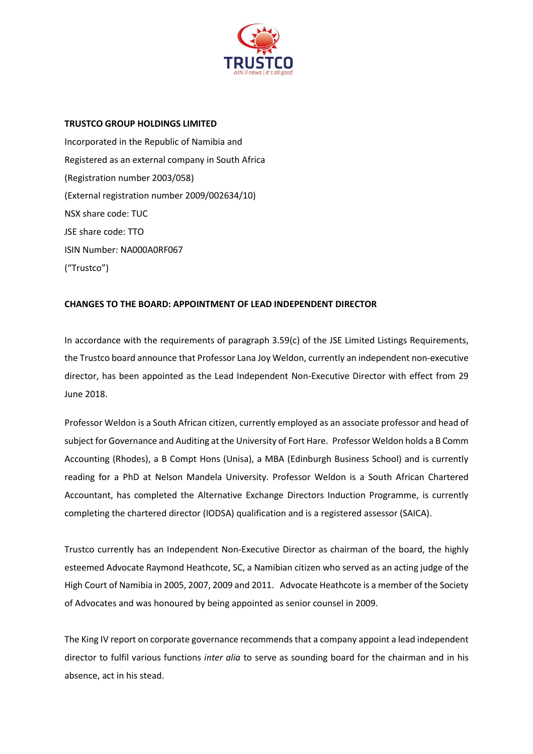

## **TRUSTCO GROUP HOLDINGS LIMITED**

Incorporated in the Republic of Namibia and Registered as an external company in South Africa (Registration number 2003/058) (External registration number 2009/002634/10) NSX share code: TUC JSE share code: TTO ISIN Number: NA000A0RF067 ("Trustco")

## **CHANGES TO THE BOARD: APPOINTMENT OF LEAD INDEPENDENT DIRECTOR**

In accordance with the requirements of paragraph 3.59(c) of the JSE Limited Listings Requirements, the Trustco board announce that Professor Lana Joy Weldon, currently an independent non-executive director, has been appointed as the Lead Independent Non-Executive Director with effect from 29 June 2018.

Professor Weldon is a South African citizen, currently employed as an associate professor and head of subject for Governance and Auditing at the University of Fort Hare. Professor Weldon holds a B Comm Accounting (Rhodes), a B Compt Hons (Unisa), a MBA (Edinburgh Business School) and is currently reading for a PhD at Nelson Mandela University. Professor Weldon is a South African Chartered Accountant, has completed the Alternative Exchange Directors Induction Programme, is currently completing the chartered director (IODSA) qualification and is a registered assessor (SAICA).

Trustco currently has an Independent Non-Executive Director as chairman of the board, the highly esteemed Advocate Raymond Heathcote, SC, a Namibian citizen who served as an acting judge of the High Court of Namibia in 2005, 2007, 2009 and 2011. Advocate Heathcote is a member of the Society of Advocates and was honoured by being appointed as senior counsel in 2009.

The King IV report on corporate governance recommends that a company appoint a lead independent director to fulfil various functions *inter alia* to serve as sounding board for the chairman and in his absence, act in his stead.